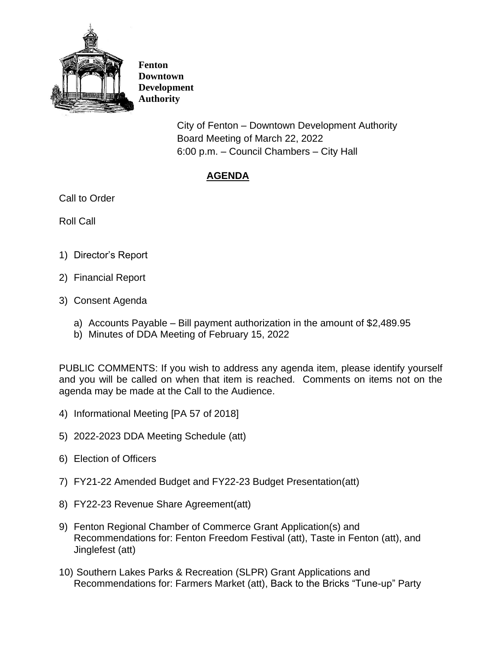

**Fenton Downtown Development Authority**

> City of Fenton – Downtown Development Authority Board Meeting of March 22, 2022 6:00 p.m. – Council Chambers – City Hall

## **AGENDA**

Call to Order

Roll Call

- 1) Director's Report
- 2) Financial Report
- 3) Consent Agenda
	- a) Accounts Payable Bill payment authorization in the amount of \$2,489.95
	- b) Minutes of DDA Meeting of February 15, 2022

PUBLIC COMMENTS: If you wish to address any agenda item, please identify yourself and you will be called on when that item is reached. Comments on items not on the agenda may be made at the Call to the Audience.

- 4) Informational Meeting [PA 57 of 2018]
- 5) 2022-2023 DDA Meeting Schedule (att)
- 6) Election of Officers
- 7) FY21-22 Amended Budget and FY22-23 Budget Presentation(att)
- 8) FY22-23 Revenue Share Agreement(att)
- 9) Fenton Regional Chamber of Commerce Grant Application(s) and Recommendations for: Fenton Freedom Festival (att), Taste in Fenton (att), and Jinglefest (att)
- 10) Southern Lakes Parks & Recreation (SLPR) Grant Applications and Recommendations for: Farmers Market (att), Back to the Bricks "Tune-up" Party